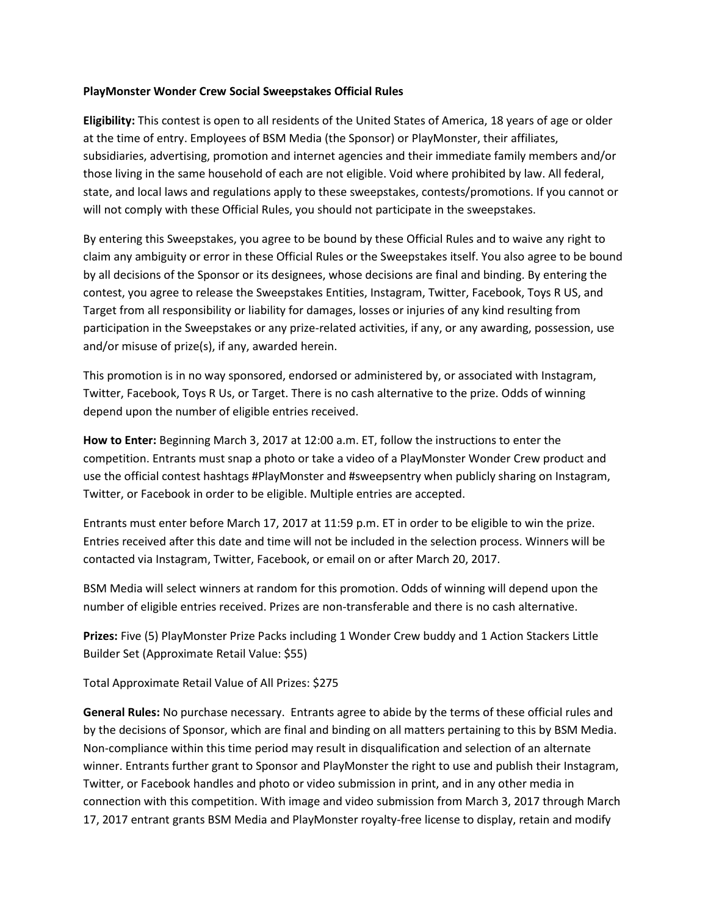## **PlayMonster Wonder Crew Social Sweepstakes Official Rules**

**Eligibility:** This contest is open to all residents of the United States of America, 18 years of age or older at the time of entry. Employees of BSM Media (the Sponsor) or PlayMonster, their affiliates, subsidiaries, advertising, promotion and internet agencies and their immediate family members and/or those living in the same household of each are not eligible. Void where prohibited by law. All federal, state, and local laws and regulations apply to these sweepstakes, contests/promotions. If you cannot or will not comply with these Official Rules, you should not participate in the sweepstakes.

By entering this Sweepstakes, you agree to be bound by these Official Rules and to waive any right to claim any ambiguity or error in these Official Rules or the Sweepstakes itself. You also agree to be bound by all decisions of the Sponsor or its designees, whose decisions are final and binding. By entering the contest, you agree to release the Sweepstakes Entities, Instagram, Twitter, Facebook, Toys R US, and Target from all responsibility or liability for damages, losses or injuries of any kind resulting from participation in the Sweepstakes or any prize-related activities, if any, or any awarding, possession, use and/or misuse of prize(s), if any, awarded herein.

This promotion is in no way sponsored, endorsed or administered by, or associated with Instagram, Twitter, Facebook, Toys R Us, or Target. There is no cash alternative to the prize. Odds of winning depend upon the number of eligible entries received.

**How to Enter:** Beginning March 3, 2017 at 12:00 a.m. ET, follow the instructions to enter the competition. Entrants must snap a photo or take a video of a PlayMonster Wonder Crew product and use the official contest hashtags #PlayMonster and #sweepsentry when publicly sharing on Instagram, Twitter, or Facebook in order to be eligible. Multiple entries are accepted.

Entrants must enter before March 17, 2017 at 11:59 p.m. ET in order to be eligible to win the prize. Entries received after this date and time will not be included in the selection process. Winners will be contacted via Instagram, Twitter, Facebook, or email on or after March 20, 2017.

BSM Media will select winners at random for this promotion. Odds of winning will depend upon the number of eligible entries received. Prizes are non-transferable and there is no cash alternative.

**Prizes:** Five (5) PlayMonster Prize Packs including 1 Wonder Crew buddy and 1 Action Stackers Little Builder Set (Approximate Retail Value: \$55)

Total Approximate Retail Value of All Prizes: \$275

**General Rules:** No purchase necessary. Entrants agree to abide by the terms of these official rules and by the decisions of Sponsor, which are final and binding on all matters pertaining to this by BSM Media. Non-compliance within this time period may result in disqualification and selection of an alternate winner. Entrants further grant to Sponsor and PlayMonster the right to use and publish their Instagram, Twitter, or Facebook handles and photo or video submission in print, and in any other media in connection with this competition. With image and video submission from March 3, 2017 through March 17, 2017 entrant grants BSM Media and PlayMonster royalty-free license to display, retain and modify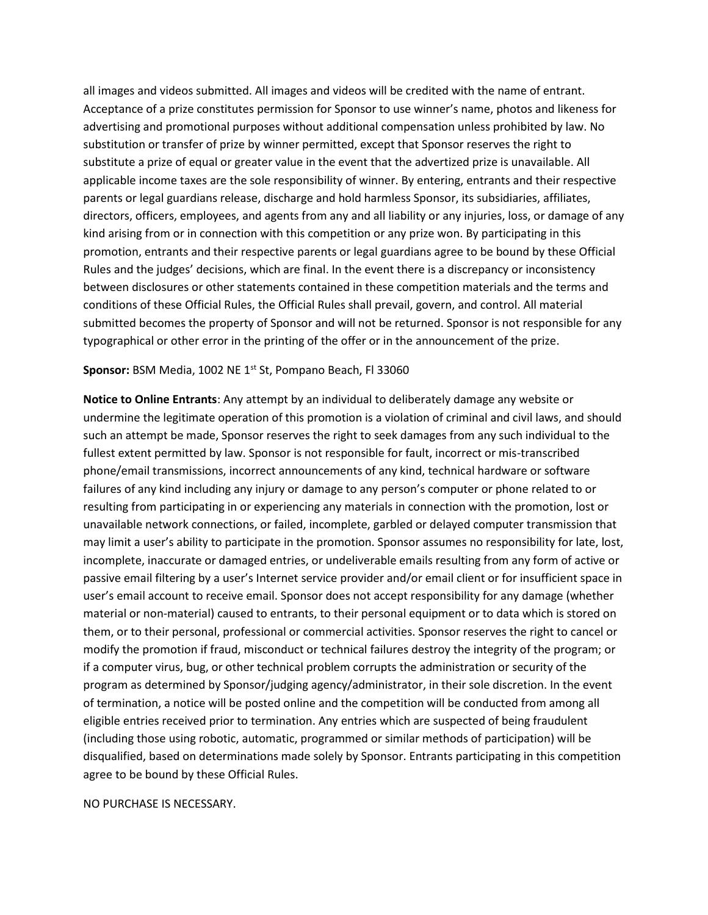all images and videos submitted. All images and videos will be credited with the name of entrant. Acceptance of a prize constitutes permission for Sponsor to use winner's name, photos and likeness for advertising and promotional purposes without additional compensation unless prohibited by law. No substitution or transfer of prize by winner permitted, except that Sponsor reserves the right to substitute a prize of equal or greater value in the event that the advertized prize is unavailable. All applicable income taxes are the sole responsibility of winner. By entering, entrants and their respective parents or legal guardians release, discharge and hold harmless Sponsor, its subsidiaries, affiliates, directors, officers, employees, and agents from any and all liability or any injuries, loss, or damage of any kind arising from or in connection with this competition or any prize won. By participating in this promotion, entrants and their respective parents or legal guardians agree to be bound by these Official Rules and the judges' decisions, which are final. In the event there is a discrepancy or inconsistency between disclosures or other statements contained in these competition materials and the terms and conditions of these Official Rules, the Official Rules shall prevail, govern, and control. All material submitted becomes the property of Sponsor and will not be returned. Sponsor is not responsible for any typographical or other error in the printing of the offer or in the announcement of the prize.

## Sponsor: BSM Media, 1002 NE 1<sup>st</sup> St, Pompano Beach, Fl 33060

**Notice to Online Entrants**: Any attempt by an individual to deliberately damage any website or undermine the legitimate operation of this promotion is a violation of criminal and civil laws, and should such an attempt be made, Sponsor reserves the right to seek damages from any such individual to the fullest extent permitted by law. Sponsor is not responsible for fault, incorrect or mis-transcribed phone/email transmissions, incorrect announcements of any kind, technical hardware or software failures of any kind including any injury or damage to any person's computer or phone related to or resulting from participating in or experiencing any materials in connection with the promotion, lost or unavailable network connections, or failed, incomplete, garbled or delayed computer transmission that may limit a user's ability to participate in the promotion. Sponsor assumes no responsibility for late, lost, incomplete, inaccurate or damaged entries, or undeliverable emails resulting from any form of active or passive email filtering by a user's Internet service provider and/or email client or for insufficient space in user's email account to receive email. Sponsor does not accept responsibility for any damage (whether material or non-material) caused to entrants, to their personal equipment or to data which is stored on them, or to their personal, professional or commercial activities. Sponsor reserves the right to cancel or modify the promotion if fraud, misconduct or technical failures destroy the integrity of the program; or if a computer virus, bug, or other technical problem corrupts the administration or security of the program as determined by Sponsor/judging agency/administrator, in their sole discretion. In the event of termination, a notice will be posted online and the competition will be conducted from among all eligible entries received prior to termination. Any entries which are suspected of being fraudulent (including those using robotic, automatic, programmed or similar methods of participation) will be disqualified, based on determinations made solely by Sponsor. Entrants participating in this competition agree to be bound by these Official Rules.

## NO PURCHASE IS NECESSARY.